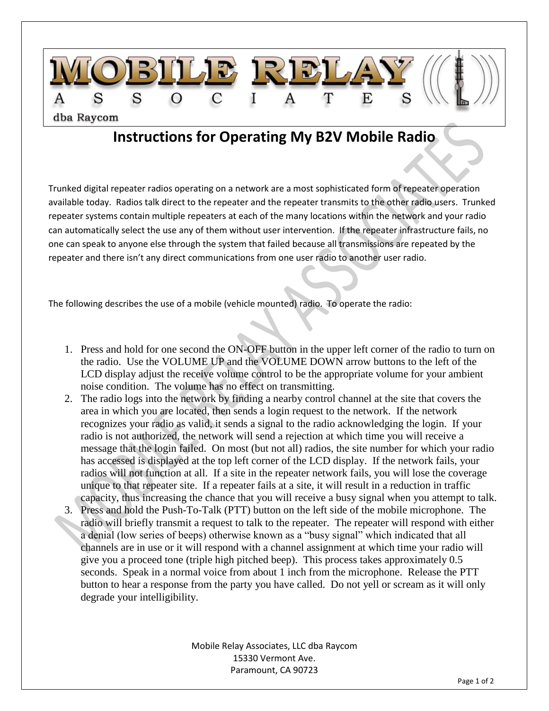

## **Instructions for Operating My B2V Mobile Radio**

Trunked digital repeater radios operating on a network are a most sophisticated form of repeater operation available today. Radios talk direct to the repeater and the repeater transmits to the other radio users. Trunked repeater systems contain multiple repeaters at each of the many locations within the network and your radio can automatically select the use any of them without user intervention. If the repeater infrastructure fails, no one can speak to anyone else through the system that failed because all transmissions are repeated by the repeater and there isn't any direct communications from one user radio to another user radio.

The following describes the use of a mobile (vehicle mounted) radio. To operate the radio:

- 1. Press and hold for one second the ON-OFF button in the upper left corner of the radio to turn on the radio. Use the VOLUME UP and the VOLUME DOWN arrow buttons to the left of the LCD display adjust the receive volume control to be the appropriate volume for your ambient noise condition. The volume has no effect on transmitting.
- 2. The radio logs into the network by finding a nearby control channel at the site that covers the area in which you are located, then sends a login request to the network. If the network recognizes your radio as valid, it sends a signal to the radio acknowledging the login. If your radio is not authorized, the network will send a rejection at which time you will receive a message that the login failed. On most (but not all) radios, the site number for which your radio has accessed is displayed at the top left corner of the LCD display. If the network fails, your radios will not function at all. If a site in the repeater network fails, you will lose the coverage unique to that repeater site. If a repeater fails at a site, it will result in a reduction in traffic capacity, thus increasing the chance that you will receive a busy signal when you attempt to talk.
- 3. Press and hold the Push-To-Talk (PTT) button on the left side of the mobile microphone. The radio will briefly transmit a request to talk to the repeater. The repeater will respond with either a denial (low series of beeps) otherwise known as a "busy signal" which indicated that all channels are in use or it will respond with a channel assignment at which time your radio will give you a proceed tone (triple high pitched beep). This process takes approximately 0.5 seconds. Speak in a normal voice from about 1 inch from the microphone. Release the PTT button to hear a response from the party you have called. Do not yell or scream as it will only degrade your intelligibility.

Mobile Relay Associates, LLC dba Raycom 15330 Vermont Ave. Paramount, CA 90723